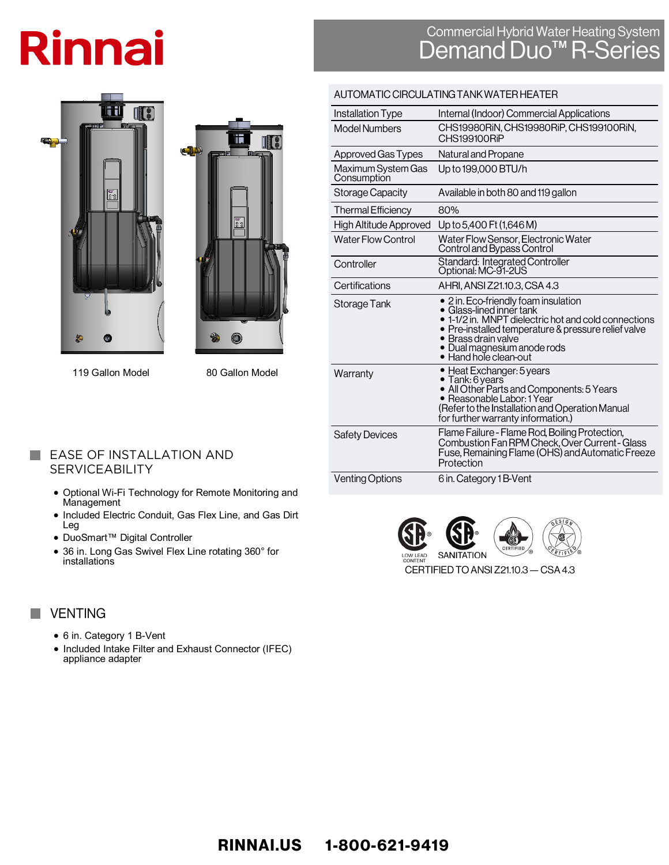# **Rinnai**

## Commercial Hybrid Water Heating System<br>Demand Duo<sup>TM</sup> R-Series





119 Gallon Model 80 Gallon Model

### **EASE OF INSTALLATION AND SERVICEABILITY**

- Optional Wi-Fi Technology for Remote Monitoring and Management
- Included Electric Conduit, Gas Flex Line, and Gas Dirt Leg
- DuoSmart™ Digital Controller
- 36 in. Long Gas Swivel Flex Line rotating 360° for installations

## **VENTING**

 $\sim$ 

**The State** 

- 6 in. Category 1 B-Vent
- Included Intake Filter and Exhaust Connector (IFEC) appliance adapter

| AU I UMA HU UINUULA HING TANN WATER HEATER |                                                                                                                                                                                                                                                                                            |  |  |  |  |  |  |
|--------------------------------------------|--------------------------------------------------------------------------------------------------------------------------------------------------------------------------------------------------------------------------------------------------------------------------------------------|--|--|--|--|--|--|
| Installation Type                          | Internal (Indoor) Commercial Applications                                                                                                                                                                                                                                                  |  |  |  |  |  |  |
| Model Numbers                              | CHS19980RIN, CHS19980RIP, CHS199100RIN,<br>CHS199100RiP                                                                                                                                                                                                                                    |  |  |  |  |  |  |
| Approved Gas Types                         | Natural and Propane                                                                                                                                                                                                                                                                        |  |  |  |  |  |  |
| Maximum System Gas<br>Consumption          | Up to 199,000 BTU/h                                                                                                                                                                                                                                                                        |  |  |  |  |  |  |
| Storage Capacity                           | Available in both 80 and 119 gallon                                                                                                                                                                                                                                                        |  |  |  |  |  |  |
| <b>Thermal Efficiency</b>                  | 80%                                                                                                                                                                                                                                                                                        |  |  |  |  |  |  |
| High Altitude Approved                     | Up to 5,400 Ft (1,646 M)                                                                                                                                                                                                                                                                   |  |  |  |  |  |  |
| <b>Water Flow Control</b>                  | Water Flow Sensor, Electronic Water<br>Control and Bypass Control                                                                                                                                                                                                                          |  |  |  |  |  |  |
| Controller                                 | Standard: Integrated Controller<br>Optional: MC-91-2US                                                                                                                                                                                                                                     |  |  |  |  |  |  |
| Certifications                             | AHRI, ANSI Z21.10.3, CSA 4.3                                                                                                                                                                                                                                                               |  |  |  |  |  |  |
| Storage Tank                               | • 2 in. Eco-friendly foam insulation<br>$\bullet$ Glass-lined inner tank<br>• 1-1/2 in. MNPT dielectric hot and cold connections<br>$\bullet\,$ Pre-installed temperature & pressure relief valve<br>$\bullet\,$ Brass drain valve<br>· Dual magnesium anode rods<br>• Hand hole clean-out |  |  |  |  |  |  |
| Warranty                                   | • Heat Exchanger: 5 years<br>• Tank: 6 years<br>• All Other Parts and Components: 5 Years<br>• Reasonable Labor: 1 Year<br>(Refer to the Installation and Operation Manual<br>for further warranty information.)                                                                           |  |  |  |  |  |  |
| <b>Safety Devices</b>                      | Flame Failure - Flame Rod, Boiling Protection,<br>Combustion Fan RPM Check, Over Current - Glass<br>Fuse, Remaining Flame (OHS) and Automatic Freeze<br>Protection                                                                                                                         |  |  |  |  |  |  |
| <b>Venting Options</b>                     | 6 in. Category 1B-Vent                                                                                                                                                                                                                                                                     |  |  |  |  |  |  |

AUTOMATIC CIDOUL ATINC TANIZMATED UF ATED

**SANITATION** LOW LEAD<br>CONTENT

CERTIFIED TO ANSI Z21.10.3 - CSA 4.3

RINNAI.US 1-800-621-9419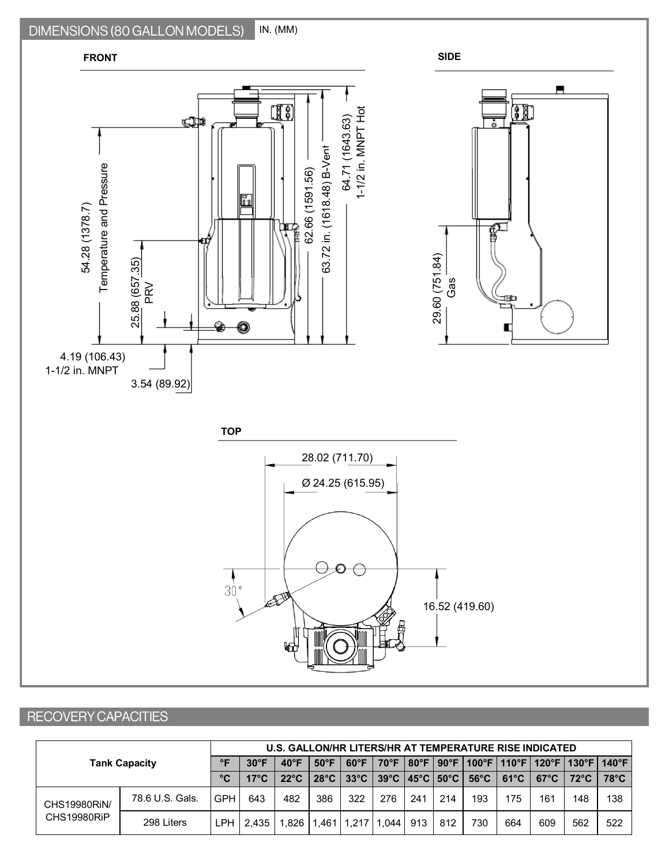#### DIMENSIONS (80 GALLON MODELS) IN. (MM)



## RECOVERY CAPACITIES

| <b>Tank Capacity</b>        |                 | U.S. GALLON/HR LITERS/HR AT TEMPERATURE RISE INDICATED |                |                |                |                |       |     |     |                                                                      |                |                                                    |                |                 |
|-----------------------------|-----------------|--------------------------------------------------------|----------------|----------------|----------------|----------------|-------|-----|-----|----------------------------------------------------------------------|----------------|----------------------------------------------------|----------------|-----------------|
|                             |                 | ᅂ                                                      | $30^{\circ}$ F | $40^{\circ}$ F | $50^{\circ}$ F | $60^{\circ}$ F |       |     |     |                                                                      |                | 70°F   80°F   90°F   100°F   110°F   120°F   130°F |                | $140^{\circ}$ F |
|                             |                 | °C                                                     | $17^{\circ}$ C | $22^{\circ}$ C | $28^{\circ}$ C | $33^{\circ}$ C |       |     |     | $39^{\circ}$ C   45 $^{\circ}$ C   50 $^{\circ}$ C   56 $^{\circ}$ C | $61^{\circ}$ C | $67^{\circ}$ C                                     | $72^{\circ}$ C | $78^{\circ}$ C  |
| CHS19980RIN/<br>CHS19980RiP | 78.6 U.S. Gals. | <b>GPH</b>                                             | 643            | 482            | 386            | 322            | 276   | 241 | 214 | 193                                                                  | 175            | 161                                                | 148            | 138             |
|                             | 298 Liters      | ∟PH '                                                  | 2.435 L        | 1.826          |                | 1.461   1.217  | 1.044 | 913 | 812 | 730                                                                  | 664            | 609                                                | 562            | 522             |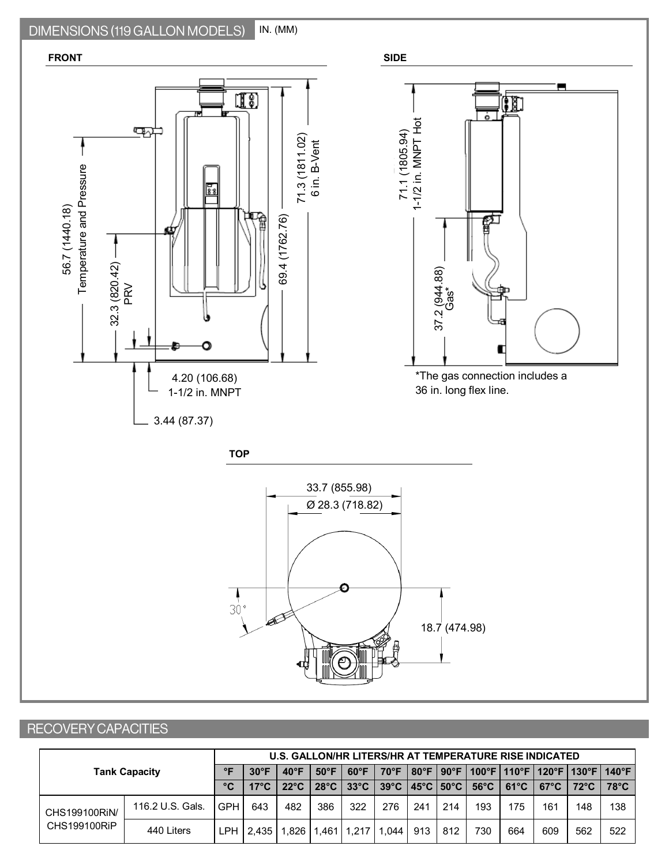#### DIMENSIONS (119 GALLON MODELS) IN. (MM)



## RECOVERY CAPACITIES

|                               | U.S. GALLON/HR LITERS/HR AT TEMPERATURE RISE INDICATED |              |                |                |                |                |                |     |     |                                                                      |                |                |                                             |                 |
|-------------------------------|--------------------------------------------------------|--------------|----------------|----------------|----------------|----------------|----------------|-----|-----|----------------------------------------------------------------------|----------------|----------------|---------------------------------------------|-----------------|
| <b>Tank Capacity</b>          |                                                        | $\circ$      | $30^{\circ}$ F | $40^{\circ}$ F | $50^{\circ}$ F | $60^{\circ}F$  | $70^{\circ}$ F |     |     |                                                                      |                |                | 80°F   90°F   100°F   110°F   120°F   130°F | $140^{\circ}$ F |
|                               |                                                        | $^{\circ}$ C | $17^{\circ}$ C | $22^{\circ}$ C | $28^{\circ}$ C | $33^{\circ}$ C |                |     |     | $39^{\circ}$ C   45 $^{\circ}$ C   50 $^{\circ}$ C   56 $^{\circ}$ C | $61^{\circ}$ C | $67^{\circ}$ C | $72^{\circ}$ C                              | $78^{\circ}$ C  |
| CHS199100RiN/<br>CHS199100RiP | 116.2 U.S. Gals.                                       | GPH          | 643            | 482            | 386            | 322            | 276            | 241 | 214 | 193                                                                  | 175            | 161            | 148                                         | 138             |
|                               | 440 Liters                                             | <b>LPH</b>   | 2.435          | .826           | .461           | 1.217          | .044           | 913 | 812 | 730                                                                  | 664            | 609            | 562                                         | 522             |